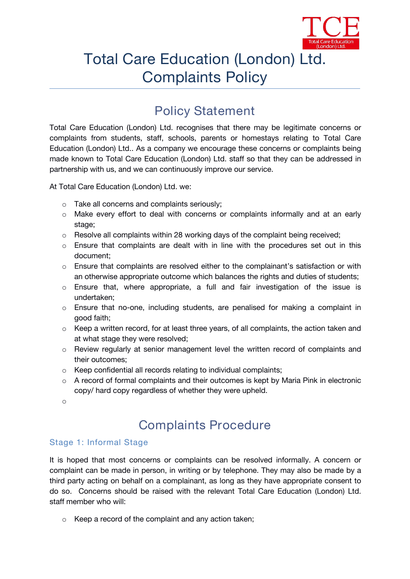

# Total Care Education (London) Ltd. Complaints Policy

## **Policy Statement**

Total Care Education (London) Ltd. recognises that there may be legitimate concerns or complaints from students, staff, schools, parents or homestays relating to Total Care Education (London) Ltd.. As a company we encourage these concerns or complaints being made known to Total Care Education (London) Ltd. staff so that they can be addressed in partnership with us, and we can continuously improve our service.

At Total Care Education (London) Ltd. we:

- o Take all concerns and complaints seriously;
- $\circ$  Make every effort to deal with concerns or complaints informally and at an early stage;
- o Resolve all complaints within 28 working days of the complaint being received;
- $\circ$  Ensure that complaints are dealt with in line with the procedures set out in this document;
- $\circ$  Ensure that complaints are resolved either to the complainant's satisfaction or with an otherwise appropriate outcome which balances the rights and duties of students;
- $\circ$  Ensure that, where appropriate, a full and fair investigation of the issue is undertaken;
- o Ensure that no-one, including students, are penalised for making a complaint in good faith;
- o Keep a written record, for at least three years, of all complaints, the action taken and at what stage they were resolved;
- o Review regularly at senior management level the written record of complaints and their outcomes;
- o Keep confidential all records relating to individual complaints;
- $\circ$  A record of formal complaints and their outcomes is kept by Maria Pink in electronic copy/ hard copy regardless of whether they were upheld.
- o

# **Complaints Procedure**

### Stage 1: Informal Stage

It is hoped that most concerns or complaints can be resolved informally. A concern or complaint can be made in person, in writing or by telephone. They may also be made by a third party acting on behalf on a complainant, as long as they have appropriate consent to do so. Concerns should be raised with the relevant Total Care Education (London) Ltd. staff member who will:

o Keep a record of the complaint and any action taken;